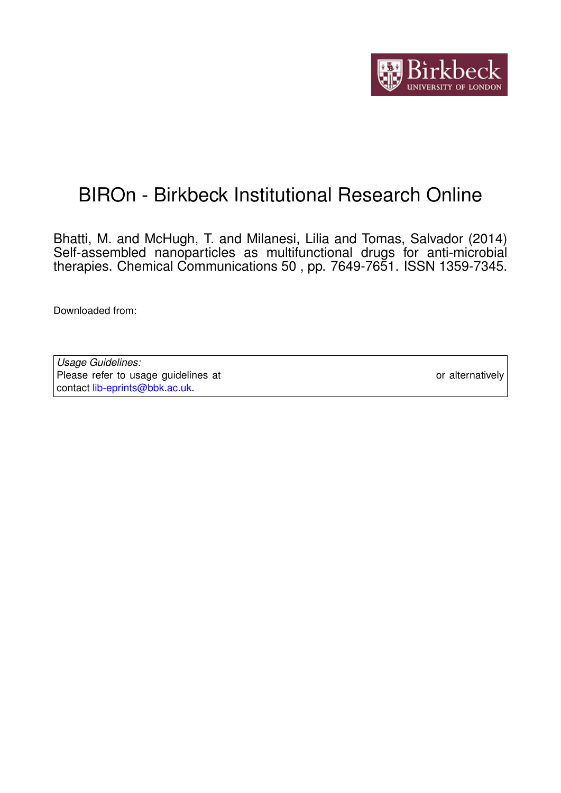

# BIROn - Birkbeck Institutional Research Online

Bhatti, M. and McHugh, T. and Milanesi, Lilia and Tomas, Salvador (2014) Self-assembled nanoparticles as multifunctional drugs for anti-microbial therapies. Chemical Communications 50 , pp. 7649-7651. ISSN 1359-7345.

Downloaded from: <https://eprints.bbk.ac.uk/id/eprint/9787/>

*Usage Guidelines:* Please refer to usage guidelines at <https://eprints.bbk.ac.uk/policies.html> or alternatively contact [lib-eprints@bbk.ac.uk.](mailto:lib-eprints@bbk.ac.uk)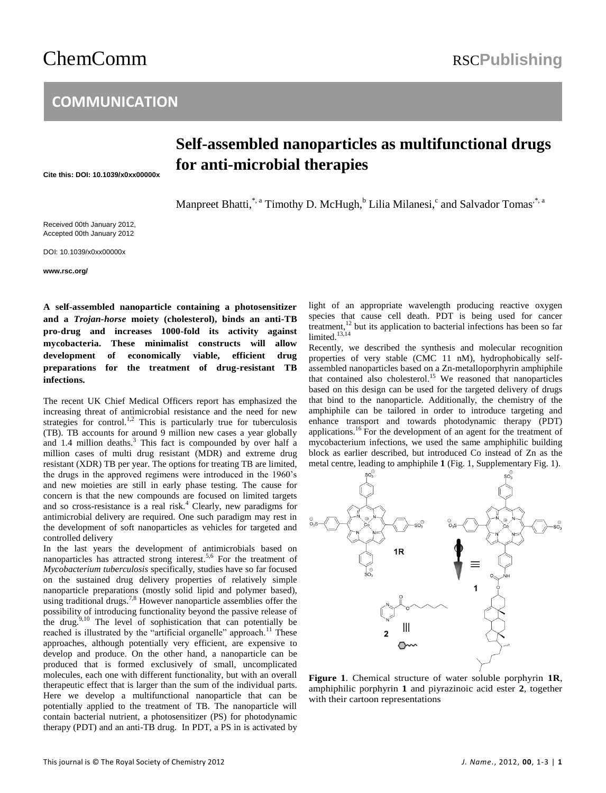# ChemComm RSCPublishing

## **COMMUNICATION**

## **Self-assembled nanoparticles as multifunctional drugs for anti-microbial therapies**

**Cite this: DOI: 10.1039/x0xx00000x**

Manpreet Bhatti,\*,<sup>a</sup> Timothy D. McHugh,<sup>b</sup> Lilia Milanesi,<sup>c</sup> and Salvador Tomas<sup>,\*, a</sup>

Received 00th January 2012, Accepted 00th January 2012

DOI: 10.1039/x0xx00000x

**www.rsc.org/**

**A self-assembled nanoparticle containing a photosensitizer and a** *Trojan-horse* **moiety (cholesterol), binds an anti-TB pro-drug and increases 1000-fold its activity against mycobacteria. These minimalist constructs will allow development of economically viable, efficient drug preparations for the treatment of drug-resistant TB infections.**

The recent UK Chief Medical Officers report has emphasized the increasing threat of antimicrobial resistance and the need for new strategies for control.<sup>1,2</sup> This is particularly true for tuberculosis (TB). TB accounts for around 9 million new cases a year globally and 1.4 million deaths.<sup>3</sup> This fact is compounded by over half a million cases of multi drug resistant (MDR) and extreme drug resistant (XDR) TB per year. The options for treating TB are limited, the drugs in the approved regimens were introduced in the 1960's and new moieties are still in early phase testing. The cause for concern is that the new compounds are focused on limited targets and so cross-resistance is a real risk.<sup>4</sup> Clearly, new paradigms for antimicrobial delivery are required. One such paradigm may rest in the development of soft nanoparticles as vehicles for targeted and controlled delivery

In the last years the development of antimicrobials based on nanoparticles has attracted strong interest.5,6 For the treatment of *Mycobacterium tuberculosis* specifically, studies have so far focused on the sustained drug delivery properties of relatively simple nanoparticle preparations (mostly solid lipid and polymer based), using traditional drugs.<sup>7,8</sup> However nanoparticle assemblies offer the possibility of introducing functionality beyond the passive release of the drug.<sup>9,10</sup> The level of sophistication that can potentially be reached is illustrated by the "artificial organelle" approach.<sup>11</sup> These approaches, although potentially very efficient, are expensive to develop and produce. On the other hand, a nanoparticle can be produced that is formed exclusively of small, uncomplicated molecules, each one with different functionality, but with an overall therapeutic effect that is larger than the sum of the individual parts. Here we develop a multifunctional nanoparticle that can be potentially applied to the treatment of TB. The nanoparticle will contain bacterial nutrient, a photosensitizer (PS) for photodynamic therapy (PDT) and an anti-TB drug. In PDT, a PS in is activated by

light of an appropriate wavelength producing reactive oxygen species that cause cell death. PDT is being used for cancer treatment,<sup>12</sup> but its application to bacterial infections has been so far limited.<sup>13,14</sup>

Recently, we described the synthesis and molecular recognition properties of very stable (CMC 11 nM), hydrophobically selfassembled nanoparticles based on a Zn-metalloporphyrin amphiphile that contained also cholesterol. <sup>15</sup> We reasoned that nanoparticles based on this design can be used for the targeted delivery of drugs that bind to the nanoparticle. Additionally, the chemistry of the amphiphile can be tailored in order to introduce targeting and enhance transport and towards photodynamic therapy (PDT) applications.<sup>16</sup> For the development of an agent for the treatment of mycobacterium infections, we used the same amphiphilic building block as earlier described, but introduced Co instead of Zn as the metal centre, leading to amphiphile **1** (Fig. 1, Supplementary Fig. 1).



**Figure 1**. Chemical structure of water soluble porphyrin **1R**, amphiphilic porphyrin **1** and piyrazinoic acid ester **2**, together with their cartoon representations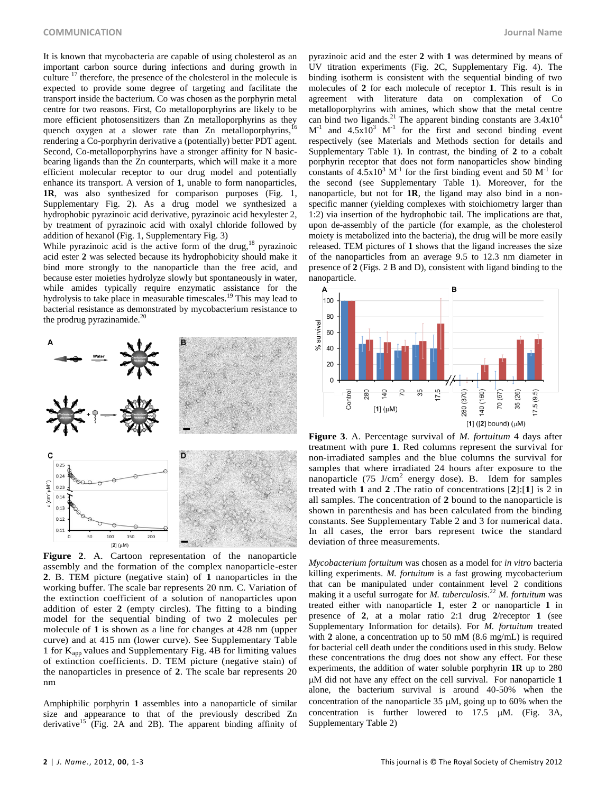It is known that mycobacteria are capable of using cholesterol as an important carbon source during infections and during growth in culture  $17$  therefore, the presence of the cholesterol in the molecule is expected to provide some degree of targeting and facilitate the transport inside the bacterium. Co was chosen as the porphyrin metal centre for two reasons. First, Co metalloporphyrins are likely to be more efficient photosensitizers than Zn metalloporphyrins as they quench oxygen at a slower rate than  $Zn$  metalloporphyrins,<sup>16</sup> rendering a Co-porphyrin derivative a (potentially) better PDT agent. Second, Co-metalloporphyrins have a stronger affinity for N basicbearing ligands than the Zn counterparts, which will make it a more efficient molecular receptor to our drug model and potentially enhance its transport. A version of **1**, unable to form nanoparticles, **1R**, was also synthesized for comparison purposes (Fig. 1, Supplementary Fig. 2). As a drug model we synthesized a hydrophobic pyrazinoic acid derivative, pyrazinoic acid hexylester 2, by treatment of pyrazinoic acid with oxalyl chloride followed by addition of hexanol (Fig. 1, Supplementary Fig. 3)

While pyrazinoic acid is the active form of the drug, $18$  pyrazinoic acid ester **2** was selected because its hydrophobicity should make it bind more strongly to the nanoparticle than the free acid, and because ester moieties hydrolyze slowly but spontaneously in water, while amides typically require enzymatic assistance for the hydrolysis to take place in measurable timescales.<sup>19</sup> This may lead to bacterial resistance as demonstrated by mycobacterium resistance to the prodrug pyrazinamide. $^{20}$ 



**Figure 2**. A. Cartoon representation of the nanoparticle assembly and the formation of the complex nanoparticle-ester **2**. B. TEM picture (negative stain) of **1** nanoparticles in the working buffer. The scale bar represents 20 nm. C. Variation of the extinction coefficient of a solution of nanoparticles upon addition of ester **2** (empty circles). The fitting to a binding model for the sequential binding of two **2** molecules per molecule of **1** is shown as a line for changes at 428 nm (upper curve) and at 415 nm (lower curve). See Supplementary Table 1 for Kapp values and Supplementary Fig. 4B for limiting values of extinction coefficients. D. TEM picture (negative stain) of the nanoparticles in presence of **2**. The scale bar represents 20 nm

Amphiphilic porphyrin **1** assembles into a nanoparticle of similar size and appearance to that of the previously described Zn derivative<sup>15</sup> (Fig. 2A and 2B). The apparent binding affinity of pyrazinoic acid and the ester **2** with **1** was determined by means of UV titration experiments (Fig. 2C, Supplementary Fig. 4). The binding isotherm is consistent with the sequential binding of two molecules of **2** for each molecule of receptor **1**. This result is in agreement with literature data on complexation of Co metalloporphyrins with amines, which show that the metal centre can bind two ligands.<sup>21</sup> The apparent binding constants are  $3.4 \times 10^4$  $M^{-1}$  and 4.5x10<sup>3</sup> M<sup>-1</sup> for the first and second binding event respectively (see Materials and Methods section for details and Supplementary Table 1). In contrast, the binding of **2** to a cobalt porphyrin receptor that does not form nanoparticles show binding constants of  $4.5x10^3$  M<sup>-1</sup> for the first binding event and 50 M<sup>-1</sup> for the second (see Supplementary Table 1). Moreover, for the nanoparticle, but not for **1R**, the ligand may also bind in a nonspecific manner (yielding complexes with stoichiometry larger than 1:2) via insertion of the hydrophobic tail. The implications are that, upon de-assembly of the particle (for example, as the cholesterol moiety is metabolized into the bacteria), the drug will be more easily released. TEM pictures of **1** shows that the ligand increases the size of the nanoparticles from an average 9.5 to 12.3 nm diameter in presence of **2** (Figs. 2 B and D), consistent with ligand binding to the nanoparticle.



**Figure 3**. A. Percentage survival of *M. fortuitum* 4 days after treatment with pure **1**. Red columns represent the survival for non-irradiated samples and the blue columns the survival for samples that where irradiated 24 hours after exposure to the nanoparticle  $(75 \text{ J/cm}^2$  energy dose). B. Idem for samples treated with **1** and **2** .The ratio of concentrations [**2**]:[**1**] is 2 in all samples. The concentration of **2** bound to the nanoparticle is shown in parenthesis and has been calculated from the binding constants. See Supplementary Table 2 and 3 for numerical data. In all cases, the error bars represent twice the standard deviation of three measurements.

*Mycobacterium fortuitum* was chosen as a model for *in vitro* bacteria killing experiments. *M. fortuitum* is a fast growing mycobacterium that can be manipulated under containment level 2 conditions making it a useful surrogate for *M. tuberculosis*. <sup>22</sup> *M. fortuitum* was treated either with nanoparticle **1**, ester **2** or nanoparticle **1** in presence of **2**, at a molar ratio 2:1 drug **2**/receptor **1** (see Supplementary Information for details). For *M. fortuitum* treated with **2** alone, a concentration up to 50 mM (8.6 mg/mL) is required for bacterial cell death under the conditions used in this study. Below these concentrations the drug does not show any effect. For these experiments, the addition of water soluble porphyrin **1R** up to 280 M did not have any effect on the cell survival. For nanoparticle **1** alone, the bacterium survival is around 40-50% when the concentration of the nanoparticle  $35 \mu M$ , going up to 60% when the concentration is further lowered to  $17.5$   $\mu$ M. (Fig. 3A, Supplementary Table 2)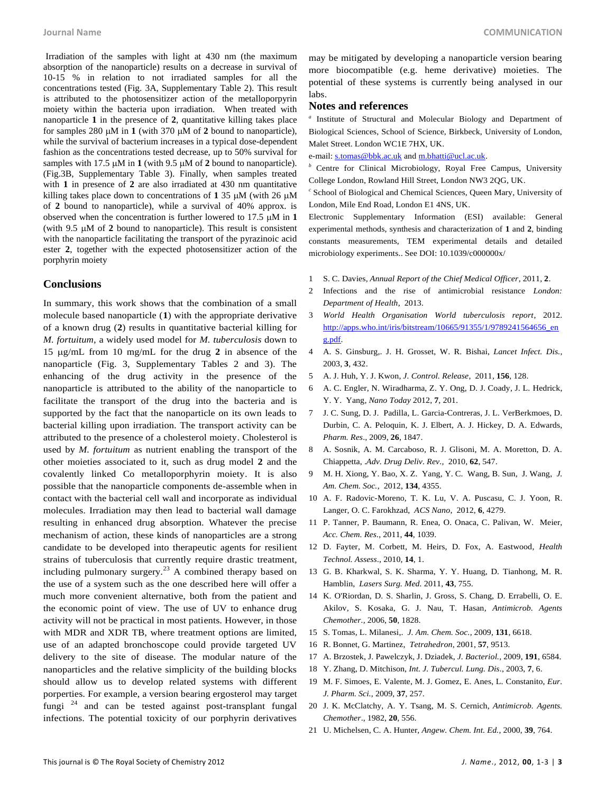Irradiation of the samples with light at 430 nm (the maximum absorption of the nanoparticle) results on a decrease in survival of 10-15 % in relation to not irradiated samples for all the concentrations tested (Fig. 3A, Supplementary Table 2). This result is attributed to the photosensitizer action of the metalloporpyrin moiety within the bacteria upon irradiation. When treated with nanoparticle **1** in the presence of **2**, quantitative killing takes place for samples 280  $\mu$ M in **1** (with 370  $\mu$ M of **2** bound to nanoparticle), while the survival of bacterium increases in a typical dose-dependent fashion as the concentrations tested decrease, up to 50% survival for samples with 17.5  $\mu$ M in **1** (with 9.5  $\mu$ M of **2** bound to nanoparticle). (Fig.3B, Supplementary Table 3). Finally, when samples treated with 1 in presence of 2 are also irradiated at 430 nm quantitative killing takes place down to concentrations of  $1.35 \mu M$  (with 26  $\mu$ M) of **2** bound to nanoparticle), while a survival of 40% approx. is observed when the concentration is further lowered to 17.5  $\mu$ M in 1 (with  $9.5 \mu M$  of 2 bound to nanoparticle). This result is consistent with the nanoparticle facilitating the transport of the pyrazinoic acid ester **2**, together with the expected photosensitizer action of the porphyrin moiety

### **Conclusions**

In summary, this work shows that the combination of a small molecule based nanoparticle (**1**) with the appropriate derivative of a known drug (**2**) results in quantitative bacterial killing for *M. fortuitum*, a widely used model for *M. tuberculosis* down to 15 g/mL from 10 mg/mL for the drug **2** in absence of the nanoparticle (Fig. 3, Supplementary Tables 2 and 3). The enhancing of the drug activity in the presence of the nanoparticle is attributed to the ability of the nanoparticle to facilitate the transport of the drug into the bacteria and is supported by the fact that the nanoparticle on its own leads to bacterial killing upon irradiation. The transport activity can be attributed to the presence of a cholesterol moiety. Cholesterol is used by *M. fortuitum* as nutrient enabling the transport of the other moieties associated to it, such as drug model **2** and the covalently linked Co metalloporphyrin moiety. It is also possible that the nanoparticle components de-assemble when in contact with the bacterial cell wall and incorporate as individual molecules. Irradiation may then lead to bacterial wall damage resulting in enhanced drug absorption. Whatever the precise mechanism of action, these kinds of nanoparticles are a strong candidate to be developed into therapeutic agents for resilient strains of tuberculosis that currently require drastic treatment, including pulmonary surgery. $^{23}$  A combined therapy based on the use of a system such as the one described here will offer a much more convenient alternative, both from the patient and the economic point of view. The use of UV to enhance drug activity will not be practical in most patients. However, in those with MDR and XDR TB, where treatment options are limited, use of an adapted bronchoscope could provide targeted UV delivery to the site of disease. The modular nature of the nanoparticles and the relative simplicity of the building blocks should allow us to develop related systems with different porperties. For example, a version bearing ergosterol may target fungi  $24$  and can be tested against post-transplant fungal infections. The potential toxicity of our porphyrin derivatives

may be mitigated by developing a nanoparticle version bearing more biocompatible (e.g. heme derivative) moieties. The potential of these systems is currently being analysed in our labs.

#### **Notes and references**

*a* Institute of Structural and Molecular Biology and Department of Biological Sciences, School of Science, Birkbeck, University of London, Malet Street. London WC1E 7HX, UK.

e-mail[: s.tomas@bbk.ac.uk](mailto:s.tomas@bbk.ac.uk) an[d m.bhatti@ucl.ac.uk.](mailto:m.bhatti@ucl.ac.uk)

Centre for Clinical Microbiology, Royal Free Campus, University College London, Rowland Hill Street, London NW3 2QG, UK.

*c* School of Biological and Chemical Sciences, Queen Mary, University of London, Mile End Road, London E1 4NS, UK.

Electronic Supplementary Information (ESI) available: General experimental methods, synthesis and characterization of **1** and **2**, binding constants measurements, TEM experimental details and detailed microbiology experiments.. See DOI: 10.1039/c000000x/

- 1 S. C. Davies, *Annual Report of the Chief Medical Officer*, 2011, **2**.
- 2 Infections and the rise of antimicrobial resistance *London: Department of Health*, 2013.
- 3 *World Health Organisation World tuberculosis report*, 2012. [http://apps.who.int/iris/bitstream/10665/91355/1/9789241564656\\_en](http://apps.who.int/iris/bitstream/10665/91355/1/9789241564656_eng.pdf) [g.pdf.](http://apps.who.int/iris/bitstream/10665/91355/1/9789241564656_eng.pdf)
- 4 A. S. Ginsburg,. J. H. Grosset, W. R. Bishai, *Lancet Infect. Dis.,* 2003, **3**, 432.
- 5 A. J. Huh, Y. J. Kwon, *J. Control. Release*, 2011, **156**, 128.
- 6 A. C. Engler, N. Wiradharma, Z. Y. Ong, D. J. Coady, J. L. Hedrick, Y. Y. Yang, *Nano Today* 2012, **7**, 201.
- 7 J. C. Sung, D. J. Padilla, L. Garcia-Contreras, J. L. VerBerkmoes, D. Durbin, C. A. Peloquin, K. J. Elbert, A. J. Hickey, D. A. Edwards, *Pharm. Res*., 2009, **26**, 1847.
- 8 A. Sosnik, A. M. Carcaboso, R. J. Glisoni, M. A. Moretton, D. A. Chiappetta, .*Adv. Drug Deliv. Rev.,* 2010, **62**, 547.
- 9 M. H. Xiong, Y. Bao, X. Z. Yang, Y. C. Wang, B. Sun, J. Wang, *J. Am. Chem. Soc.*, 2012, **134**, 4355.
- 10 A. F. Radovic-Moreno, T. K. Lu, V. A. Puscasu, C. J. Yoon, R. Langer, O. C. Farokhzad, *ACS Nano*, 2012, **6**, 4279.
- 11 P. Tanner, P. Baumann, R. Enea, O. Onaca, C. Palivan, W. Meier, *Acc. Chem. Res.*, 2011, **44**, 1039.
- 12 D. Fayter, M. Corbett, M. Heirs, D. Fox, A. Eastwood, *Health Technol. Assess.*, 2010, **14**, 1.
- 13 G. B. Kharkwal, S. K. Sharma, Y. Y. Huang, D. Tianhong, M. R. Hamblin, *Lasers Surg. Med.* 2011, **43**, 755.
- 14 K. O'Riordan, D. S. Sharlin, J. Gross, S. Chang, D. Errabelli, O. E. Akilov, S. Kosaka, G. J. Nau, T. Hasan, *Antimicrob. Agents Chemother.,* 2006, **50**, 1828.
- 15 S. Tomas, L. Milanesi,. *J. Am. Chem. Soc.,* 2009, **131**, 6618.
- 16 R. Bonnet, G. Martinez, *Tetrahedron,* 2001, **57**, 9513.
- 17 A. Brzostek, J. Pawelczyk, J. Dziadek, *J. Bacteriol.,* 2009, **191**, 6584.
- 18 Y. Zhang, D. Mitchison, *Int. J. Tubercul. Lung. Dis*., 2003, **7**, 6.
- 19 M. F. Simoes, E. Valente, M. J. Gomez, E. Anes, L. Constanito, *Eur. J. Pharm. Sci.,* 2009, **37**, 257.
- 20 J. K. McClatchy, A. Y. Tsang, M. S. Cernich, *Antimicrob. Agents. Chemother*., 1982, **20**, 556.
- 21 U. Michelsen, C. A. Hunter, *Angew. Chem. Int. Ed.*, 2000, **39**, 764.